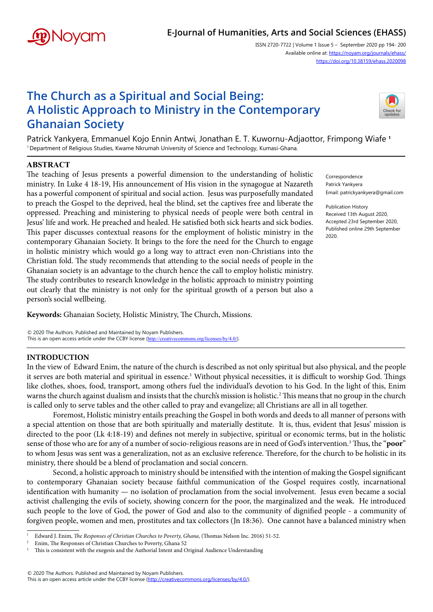

# **E-Journal of Humanities, Arts and Social Sciences (EHASS)**

ISSN 2720-7722 | Volume 1 Issue 5 – September 2020 pp 194- 200 Available online at: https://noyam.org/journals/ehass/ [https://doi.org/10.38159/ehass.202009](https://doi.org/10.38159/ehass.2020098)8

# **The Church as a Spiritual and Social Being: A Holistic Approach to Ministry in the Contemporary Ghanaian Society**



Patrick Yankyera, Emmanuel Kojo Ennin Antwi, Jonathan E. T. Kuwornu-Adjaottor, Frimpong Wiafe **<sup>1</sup>** 1 Department of Religious Studies, Kwame Nkrumah University of Science and Technology, Kumasi-Ghana.

## **ABSTRACT**

The teaching of Jesus presents a powerful dimension to the understanding of holistic ministry. In Luke 4 18-19, His announcement of His vision in the synagogue at Nazareth has a powerful component of spiritual and social action. Jesus was purposefully mandated to preach the Gospel to the deprived, heal the blind, set the captives free and liberate the oppressed. Preaching and ministering to physical needs of people were both central in Jesus' life and work. He preached and healed. He satisfied both sick hearts and sick bodies. This paper discusses contextual reasons for the employment of holistic ministry in the contemporary Ghanaian Society. It brings to the fore the need for the Church to engage in holistic ministry which would go a long way to attract even non-Christians into the Christian fold. The study recommends that attending to the social needs of people in the Ghanaian society is an advantage to the church hence the call to employ holistic ministry. The study contributes to research knowledge in the holistic approach to ministry pointing out clearly that the ministry is not only for the spiritual growth of a person but also a person's social wellbeing.

Correspondence Patrick Yankyera Email: patrickyankyera@gmail.com

Publication History Received 13th August 2020, Accepted 23rd September 2020, Published online 29th September 2020.

**Keywords:** Ghanaian Society, Holistic Ministry, The Church, Missions.

© 2020 The Authors. Published and Maintained by Noyam Publishers. This is an open access article under the CCBY license (<http://creativecommons.org/licenses/by/4.0/>).

### **INTRODUCTION**

In the view of Edward Enim, the nature of the church is described as not only spiritual but also physical, and the people it serves are both material and spiritual in essence.<sup>1</sup> Without physical necessities, it is difficult to worship God. Things like clothes, shoes, food, transport, among others fuel the individual's devotion to his God. In the light of this, Enim warns the church against dualism and insists that the church's mission is holistic.<sup>2</sup> This means that no group in the church is called only to serve tables and the other called to pray and evangelize; all Christians are all in all together.

Foremost, Holistic ministry entails preaching the Gospel in both words and deeds to all manner of persons with a special attention on those that are both spiritually and materially destitute. It is, thus, evident that Jesus' mission is directed to the poor (Lk 4:18-19) and defines not merely in subjective, spiritual or economic terms, but in the holistic sense of those who are for any of a number of socio-religious reasons are in need of God's intervention.3 Thus, the "**poor**" to whom Jesus was sent was a generalization, not as an exclusive reference. Therefore, for the church to be holistic in its ministry, there should be a blend of proclamation and social concern.

Second, a holistic approach to ministry should be intensified with the intention of making the Gospel significant to contemporary Ghanaian society because faithful communication of the Gospel requires costly, incarnational identification with humanity — no isolation of proclamation from the social involvement. Jesus even became a social activist challenging the evils of society, showing concern for the poor, the marginalized and the weak. He introduced such people to the love of God, the power of God and also to the community of dignified people - a community of forgiven people, women and men, prostitutes and tax collectors (Jn 18:36). One cannot have a balanced ministry when

<sup>1</sup>  Edward J. Enim, *The Responses of Christian Churches to Poverty, Ghana*, (Thomas Nelson Inc. 2016) 51-52.

Enim, The Responses of Christian Churches to Poverty, Ghana 52

<sup>3</sup>  This is consistent with the exegesis and the Authorial Intent and Original Audience Understanding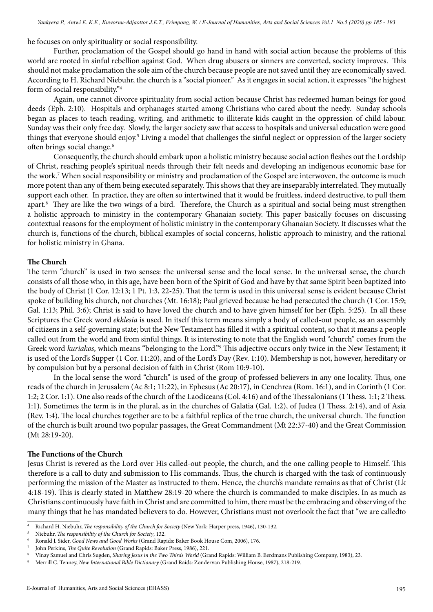he focuses on only spirituality or social responsibility.

Further, proclamation of the Gospel should go hand in hand with social action because the problems of this world are rooted in sinful rebellion against God. When drug abusers or sinners are converted, society improves. This should not make proclamation the sole aim of the church because people are not saved until they are economically saved. According to H. Richard Niebuhr, the church is a "social pioneer." As it engages in social action, it expresses "the highest form of social responsibility."<sup>4</sup>

Again, one cannot divorce spirituality from social action because Christ has redeemed human beings for good deeds (Eph. 2:10). Hospitals and orphanages started among Christians who cared about the needy. Sunday schools began as places to teach reading, writing, and arithmetic to illiterate kids caught in the oppression of child labour. Sunday was their only free day. Slowly, the larger society saw that access to hospitals and universal education were good things that everyone should enjoy.<sup>5</sup> Living a model that challenges the sinful neglect or oppression of the larger society often brings social change.<sup>6</sup>

Consequently, the church should embark upon a holistic ministry because social action fleshes out the Lordship of Christ, reaching people's spiritual needs through their felt needs and developing an indigenous economic base for the work.7 When social responsibility or ministry and proclamation of the Gospel are interwoven, the outcome is much more potent than any of them being executed separately. This shows that they are inseparably interrelated. They mutually support each other. In practice, they are often so intertwined that it would be fruitless, indeed destructive, to pull them apart.8 They are like the two wings of a bird. Therefore, the Church as a spiritual and social being must strengthen a holistic approach to ministry in the contemporary Ghanaian society. This paper basically focuses on discussing contextual reasons for the employment of holistic ministry in the contemporary Ghanaian Society. It discusses what the church is, functions of the church, biblical examples of social concerns, holistic approach to ministry, and the rational for holistic ministry in Ghana.

### **The Church**

The term "church" is used in two senses: the universal sense and the local sense. In the universal sense, the church consists of all those who, in this age, have been born of the Spirit of God and have by that same Spirit been baptized into the body of Christ (1 Cor. 12:13; 1 Pt. 1:3, 22-25). That the term is used in this universal sense is evident because Christ spoke of building his church, not churches (Mt. 16:18); Paul grieved because he had persecuted the church (1 Cor. 15:9; Gal. 1:13; Phil. 3:6); Christ is said to have loved the church and to have given himself for her (Eph. 5:25). In all these Scriptures the Greek word *ekklesia* is used. In itself this term means simply a body of called-out people, as an assembly of citizens in a self-governing state; but the New Testament has filled it with a spiritual content, so that it means a people called out from the world and from sinful things. It is interesting to note that the English word "church" comes from the Greek word *kuriakos*, which means "belonging to the Lord." This adjective occurs only twice in the New Testament; it is used of the Lord's Supper (1 Cor. 11:20), and of the Lord's Day (Rev. 1:10). Membership is not, however, hereditary or by compulsion but by a personal decision of faith in Christ (Rom 10:9-10).

In the local sense the word "church" is used of the group of professed believers in any one locality. Thus, one reads of the church in Jerusalem (Ac 8:1; 11:22), in Ephesus (Ac 20:17), in Cenchrea (Rom. 16:1), and in Corinth (1 Cor. 1:2; 2 Cor. 1:1). One also reads of the church of the Laodiceans (Col. 4:16) and of the Thessalonians (1 Thess. 1:1; 2 Thess. 1:1). Sometimes the term is in the plural, as in the churches of Galatia (Gal. 1:2), of Judea (1 Thess. 2:14), and of Asia (Rev. 1:4). The local churches together are to be a faithful replica of the true church, the universal church. The function of the church is built around two popular passages, the Great Commandment (Mt 22:37-40) and the Great Commission (Mt 28:19-20).

### **The Functions of the Church**

Jesus Christ is revered as the Lord over His called-out people, the church, and the one calling people to Himself. This therefore is a call to duty and submission to His commands. Thus, the church is charged with the task of continuously performing the mission of the Master as instructed to them. Hence, the church's mandate remains as that of Christ (Lk 4:18-19). This is clearly stated in Matthew 28:19-20 where the church is commanded to make disciples. In as much as Christians continuously have faith in Christ and are committed to him, there must be the embracing and observing of the many things that he has mandated believers to do. However, Christians must not overlook the fact that "we are calledto

<sup>4</sup>  Richard H. Niebuhr, *The responsibility of the Church for Society* (New York: Harper press, 1946), 130-132.

<sup>5</sup>  Niebuhr, *The responsibility of the Church for Society*, 132.

<sup>6</sup>  Ronald J. Sider, *Good News and Good Works* (Grand Rapids: Baker Book House Com, 2006), 176.

<sup>7</sup>  John Perkins, *The Quite Revolution* (Grand Rapids: Baker Press, 1986), 221.

<sup>8</sup>  Vinay Samuel and Chris Sugden, *Sharing Jesus in the Two Thirds World* (Grand Rapids: William B. Eerdmans Publishing Company, 1983), 23.

<sup>9</sup>  Merrill C. Tenney, *New International Bible Dictionary* (Grand Raids: Zondervan Publishing House, 1987), 218-219.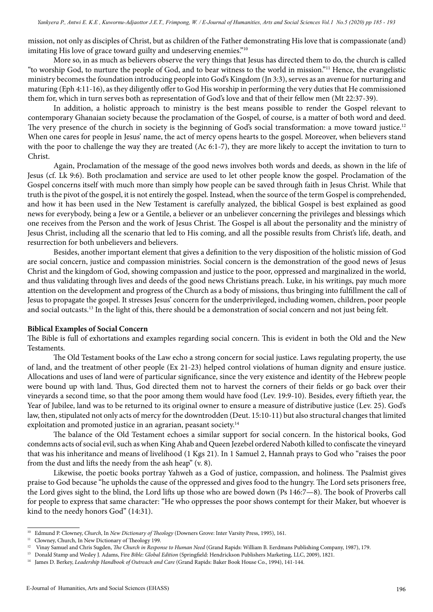mission, not only as disciples of Christ, but as children of the Father demonstrating His love that is compassionate (and) imitating His love of grace toward guilty and undeserving enemies."10

More so, in as much as believers observe the very things that Jesus has directed them to do, the church is called "to worship God, to nurture the people of God, and to bear witness to the world in mission."11 Hence, the evangelistic ministry becomes the foundation introducing people into God's Kingdom (Jn 3:3), serves as an avenue for nurturing and maturing (Eph 4:11-16), as they diligently offer to God His worship in performing the very duties that He commissioned them for, which in turn serves both as representation of God's love and that of their fellow men (Mt 22:37-39).

In addition, a holistic approach to ministry is the best means possible to render the Gospel relevant to contemporary Ghanaian society because the proclamation of the Gospel, of course, is a matter of both word and deed. The very presence of the church in society is the beginning of God's social transformation: a move toward justice.<sup>12</sup> When one cares for people in Jesus' name, the act of mercy opens hearts to the gospel. Moreover, when believers stand with the poor to challenge the way they are treated (Ac 6:1-7), they are more likely to accept the invitation to turn to Christ.

Again, Proclamation of the message of the good news involves both words and deeds, as shown in the life of Jesus (cf. Lk 9:6). Both proclamation and service are used to let other people know the gospel. Proclamation of the Gospel concerns itself with much more than simply how people can be saved through faith in Jesus Christ. While that truth is the pivot of the gospel, it is not entirely the gospel. Instead, when the source of the term Gospel is comprehended, and how it has been used in the New Testament is carefully analyzed, the biblical Gospel is best explained as good news for everybody, being a Jew or a Gentile, a believer or an unbeliever concerning the privileges and blessings which one receives from the Person and the work of Jesus Christ. The Gospel is all about the personality and the ministry of Jesus Christ, including all the scenario that led to His coming, and all the possible results from Christ's life, death, and resurrection for both unbelievers and believers.

Besides, another important element that gives a definition to the very disposition of the holistic mission of God are social concern, justice and compassion ministries. Social concern is the demonstration of the good news of Jesus Christ and the kingdom of God, showing compassion and justice to the poor, oppressed and marginalized in the world, and thus validating through lives and deeds of the good news Christians preach. Luke, in his writings, pay much more attention on the development and progress of the Church as a body of missions, thus bringing into fulfillment the call of Jesus to propagate the gospel. It stresses Jesus' concern for the underprivileged, including women, children, poor people and social outcasts.<sup>13</sup> In the light of this, there should be a demonstration of social concern and not just being felt.

### **Biblical Examples of Social Concern**

The Bible is full of exhortations and examples regarding social concern. This is evident in both the Old and the New Testaments.

The Old Testament books of the Law echo a strong concern for social justice. Laws regulating property, the use of land, and the treatment of other people (Ex 21-23) helped control violations of human dignity and ensure justice. Allocations and uses of land were of particular significance, since the very existence and identity of the Hebrew people were bound up with land. Thus, God directed them not to harvest the corners of their fields or go back over their vineyards a second time, so that the poor among them would have food (Lev. 19:9-10). Besides, every fiftieth year, the Year of Jubilee, land was to be returned to its original owner to ensure a measure of distributive justice (Lev. 25). God's law, then, stipulated not only acts of mercy for the downtrodden (Deut. 15:10-11) but also structural changes that limited exploitation and promoted justice in an agrarian, peasant society.<sup>14</sup>

The balance of the Old Testament echoes a similar support for social concern. In the historical books, God condemns acts of social evil, such as when King Ahab and Queen Jezebel ordered Naboth killed to confiscate the vineyard that was his inheritance and means of livelihood (1 Kgs 21). In 1 Samuel 2, Hannah prays to God who "raises the poor from the dust and lifts the needy from the ash heap" (v. 8).

Likewise, the poetic books portray Yahweh as a God of justice, compassion, and holiness. The Psalmist gives praise to God because "he upholds the cause of the oppressed and gives food to the hungry. The Lord sets prisoners free, the Lord gives sight to the blind, the Lord lifts up those who are bowed down (Ps 146:7—8). The book of Proverbs call for people to express that same character: "He who oppresses the poor shows contempt for their Maker, but whoever is kind to the needy honors God" (14:31).

<sup>10</sup> Edmund P. Clowney, *Church*, In *New Dictionary of Theology* (Downers Grove: Inter Varsity Press, 1995), 161.

<sup>&</sup>lt;sup>11</sup> Clowney, Church, In New Dictionary of Theology 199.<br><sup>12</sup> Vinou Samuel and Chris Sugden. *The Church in Pesper* 

<sup>12</sup> Vinay Samuel and Chris Sugden, *The Church in Response to Human Need* (Grand Rapids: William B. Eerdmans Publishing Company, 1987), 179.

<sup>13</sup> Donald Stamp and Wesley J. Adams, Fire *Bible: Global Edition* (Springfield: Hendrickson Publishers Marketing, LLC, 2009), 1821.

<sup>14</sup> James D. Berkey, *Leadership Handbook of Outreach and Care* (Grand Rapids: Baker Book House Co., 1994), 141-144.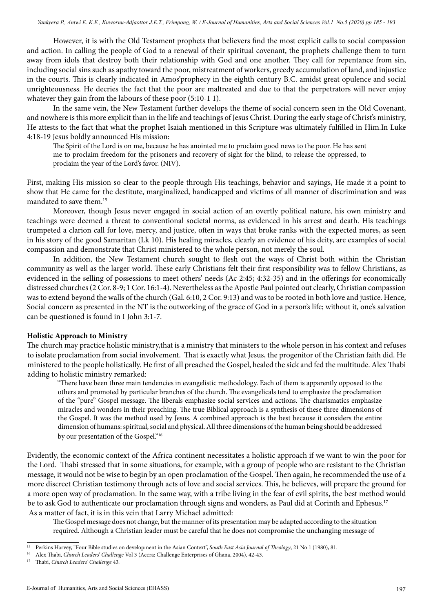However, it is with the Old Testament prophets that believers find the most explicit calls to social compassion and action. In calling the people of God to a renewal of their spiritual covenant, the prophets challenge them to turn away from idols that destroy both their relationship with God and one another. They call for repentance from sin, including social sins such as apathy toward the poor, mistreatment of workers, greedy accumulation of land, and injustice in the courts. This is clearly indicated in Amos'prophecy in the eighth century B.C. amidst great opulence and social unrighteousness. He decries the fact that the poor are maltreated and due to that the perpetrators will never enjoy whatever they gain from the labours of these poor (5:10-1 1).

In the same vein, the New Testament further develops the theme of social concern seen in the Old Covenant, and nowhere is this more explicit than in the life and teachings of Jesus Christ. During the early stage of Christ's ministry, He attests to the fact that what the prophet Isaiah mentioned in this Scripture was ultimately fulfilled in Him.In Luke 4:18-19 Jesus boldly announced His mission:

The Spirit of the Lord is on me, because he has anointed me to proclaim good news to the poor. He has sent me to proclaim freedom for the prisoners and recovery of sight for the blind, to release the oppressed, to proclaim the year of the Lord's favor. (NIV).

First, making His mission so clear to the people through His teachings, behavior and sayings, He made it a point to show that He came for the destitute, marginalized, handicapped and victims of all manner of discrimination and was mandated to save them.<sup>15</sup>

Moreover, though Jesus never engaged in social action of an overtly political nature, his own ministry and teachings were deemed a threat to conventional societal norms, as evidenced in his arrest and death. His teachings trumpeted a clarion call for love, mercy, and justice, often in ways that broke ranks with the expected mores, as seen in his story of the good Samaritan (Lk 10). His healing miracles, clearly an evidence of his deity, are examples of social compassion and demonstrate that Christ ministered to the whole person, not merely the soul.

In addition, the New Testament church sought to flesh out the ways of Christ both within the Christian community as well as the larger world. These early Christians felt their first responsibility was to fellow Christians, as evidenced in the selling of possessions to meet others' needs (Ac 2:45; 4:32-35) and in the offerings for economically distressed churches (2 Cor. 8-9; 1 Cor. 16:1-4). Nevertheless as the Apostle Paul pointed out clearly, Christian compassion was to extend beyond the walls of the church (Gal. 6:10, 2 Cor. 9:13) and was to be rooted in both love and justice. Hence, Social concern as presented in the NT is the outworking of the grace of God in a person's life; without it, one's salvation can be questioned is found in I John 3:1-7.

### **Holistic Approach to Ministry**

The church may practice holistic ministry,that is a ministry that ministers to the whole person in his context and refuses to isolate proclamation from social involvement. That is exactly what Jesus, the progenitor of the Christian faith did. He ministered to the people holistically. He first of all preached the Gospel, healed the sick and fed the multitude. Alex Thabi adding to holistic ministry remarked:

"There have been three main tendencies in evangelistic methodology. Each of them is apparently opposed to the others and promoted by particular branches of the church. The evangelicals tend to emphasize the proclamation of the "pure" Gospel message. The liberals emphasize social services and actions. The charismatics emphasize miracles and wonders in their preaching. The true Biblical approach is a synthesis of these three dimensions of the Gospel. It was the method used by Jesus. A combined approach is the best because it considers the entire dimension of humans: spiritual, social and physical. All three dimensions of the human being should be addressed by our presentation of the Gospel."<sup>16</sup>

Evidently, the economic context of the Africa continent necessitates a holistic approach if we want to win the poor for the Lord. Thabi stressed that in some situations, for example, with a group of people who are resistant to the Christian message, it would not be wise to begin by an open proclamation of the Gospel. Then again, he recommended the use of a more discreet Christian testimony through acts of love and social services. This, he believes, will prepare the ground for a more open way of proclamation. In the same way, with a tribe living in the fear of evil spirits, the best method would be to ask God to authenticate our proclamation through signs and wonders, as Paul did at Corinth and Ephesus.<sup>17</sup> As a matter of fact, it is in this vein that Larry Michael admitted:

The Gospel message does not change, but the manner of its presentation may be adapted according to the situation required. Although a Christian leader must be careful that he does not compromise the unchanging message of

<sup>15</sup> Perkins Harvey, "Four Bible studies on development in the Asian Context", *South East Asia Journal of Theology*, 21 No 1 (1980), 81.

<sup>16</sup> Alex Thabi, *Church Leaders' Challenge* Vol 3 (Accra: Challenge Enterprises of Ghana, 2004), 42-43.

<sup>17</sup> Thabi, *Church Leaders' Challenge* 43*.*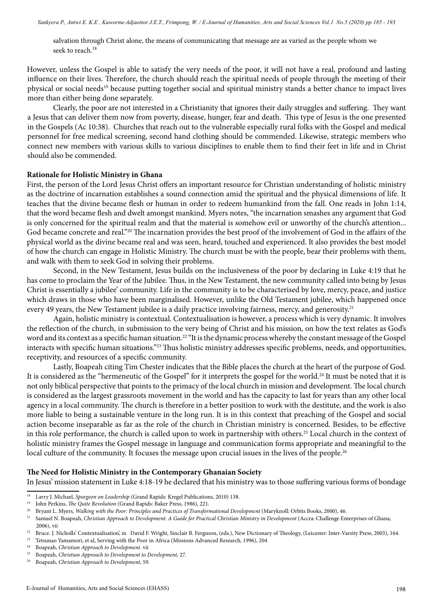salvation through Christ alone, the means of communicating that message are as varied as the people whom we seek to reach.<sup>18</sup>

However, unless the Gospel is able to satisfy the very needs of the poor, it will not have a real, profound and lasting influence on their lives. Therefore, the church should reach the spiritual needs of people through the meeting of their physical or social needs<sup>19</sup> because putting together social and spiritual ministry stands a better chance to impact lives more than either being done separately.

Clearly, the poor are not interested in a Christianity that ignores their daily struggles and suffering. They want a Jesus that can deliver them now from poverty, disease, hunger, fear and death. This type of Jesus is the one presented in the Gospels (Ac 10:38). Churches that reach out to the vulnerable especially rural folks with the Gospel and medical personnel for free medical screening, second hand clothing should be commended. Likewise, strategic members who connect new members with various skills to various disciplines to enable them to find their feet in life and in Christ should also be commended.

#### **Rationale for Holistic Ministry in Ghana**

First, the person of the Lord Jesus Christ offers an important resource for Christian understanding of holistic ministry as the doctrine of incarnation establishes a sound connection amid the spiritual and the physical dimensions of life. It teaches that the divine became flesh or human in order to redeem humankind from the fall. One reads in John 1:14, that the word became flesh and dwelt amongst mankind. Myers notes, "the incarnation smashes any argument that God is only concerned for the spiritual realm and that the material is somehow evil or unworthy of the church's attention... God became concrete and real."20 The incarnation provides the best proof of the involvement of God in the affairs of the physical world as the divine became real and was seen, heard, touched and experienced. It also provides the best model of how the church can engage in Holistic Ministry. The church must be with the people, bear their problems with them, and walk with them to seek God in solving their problems.

Second, in the New Testament, Jesus builds on the inclusiveness of the poor by declaring in Luke 4:19 that he has come to proclaim the Year of the Jubilee. Thus, in the New Testament, the new community called into being by Jesus Christ is essentially a jubilee' community. Life in the community is to be characterised by love, mercy, peace, and justice which draws in those who have been marginalised. However, unlike the Old Testament jubilee, which happened once every 49 years, the New Testament jubilee is a daily practice involving fairness, mercy, and generosity.<sup>21</sup>

Again, holistic ministry is contextual. Contextualisation is however, a process which is very dynamic. It involves the reflection of the church, in submission to the very being of Christ and his mission, on how the text relates as God's word and its context as a specific human situation.<sup>22</sup> "It is the dynamic process whereby the constant message of the Gospel interacts with specific human situations."23 Thus holistic ministry addresses specific problems, needs, and opportunities, receptivity, and resources of a specific community.

Lastly, Boapeah citing Tim Chester indicates that the Bible places the church at the heart of the purpose of God. It is considered as the "hermeneutic of the Gospel" for it interprets the gospel for the world.<sup>24</sup> It must be noted that it is not only biblical perspective that points to the primacy of the local church in mission and development. The local church is considered as the largest grassroots movement in the world and has the capacity to last for years than any other local agency in a local community. The church is therefore in a better position to work with the destitute, and the work is also more liable to being a sustainable venture in the long run. It is in this context that preaching of the Gospel and social action become inseparable as far as the role of the church in Christian ministry is concerned. Besides, to be effective in this role performance, the church is called upon to work in partnership with others.<sup>25</sup> Local church in the context of holistic ministry frames the Gospel message in language and communication forms appropriate and meaningful to the local culture of the community. It focuses the message upon crucial issues in the lives of the people.<sup>26</sup>

### **The Need for Holistic Ministry in the Contemporary Ghanaian Society**

In Jesus' mission statement in Luke 4:18-19 he declared that his ministry was to those suffering various forms of bondage

<sup>&</sup>lt;sup>18</sup> Larry J. Michael, *Spurgeon on Leadership* (Grand Rapids: Kregel Publications, 2010) 138.

<sup>19</sup> John Perkins, *The Quite Revolution* (Grand Rapids: Baker Press, 1986), 221.

<sup>20</sup> Bryant L. Myers, *Walking with the Poor: Principles and Practices of Transformational Development* (Maryknoll: Orbits Books, 2000), 46.

<sup>&</sup>lt;sup>21</sup> Samuel N. Boapeah, *Christian Approach to Development: A Guide for Practical Christian Ministry in Development (Accra: Challenge Enterprises of Ghana,* 2006), vii

<sup>&</sup>lt;sup>22</sup> Bruce. J. Nicholls' Contextualisation', in David F. Wright, Sinclair B. Ferguson, (eds.), New Dictionary of Theology, (Leicester: Inter-Varsity Press, 2003), 164. <sup>23</sup> Tetsunao Yamamori, et al, Serving with the Poor in Africa (Missions Advanced Research, 1996), 204<br><sup>24</sup> Boaneab *Christian Approach to Davelopment*, vij

<sup>24</sup> Boapeah, *Christian Approach to Development.* vii

<sup>&</sup>lt;sup>25</sup> Boapeah, *Christian Approach to Development to Development*, 27.<br><sup>26</sup> Boapeab, *Christian Approach to Development* 59

<sup>26</sup> Boapeah, *Christian Approach to Development*, 59.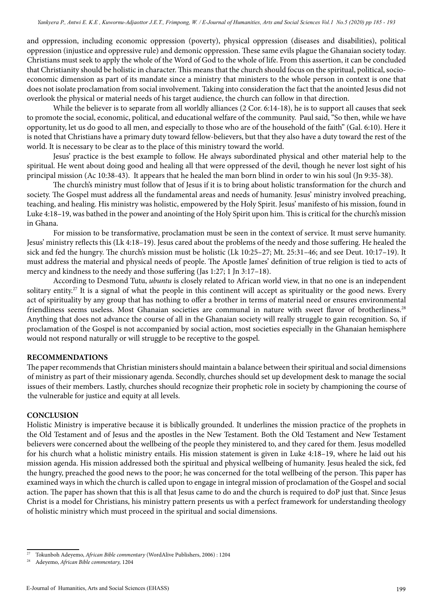and oppression, including economic oppression (poverty), physical oppression (diseases and disabilities), political oppression (injustice and oppressive rule) and demonic oppression. These same evils plague the Ghanaian society today. Christians must seek to apply the whole of the Word of God to the whole of life. From this assertion, it can be concluded that Christianity should be holistic in character. This means that the church should focus on the spiritual, political, socioeconomic dimension as part of its mandate since a ministry that ministers to the whole person in context is one that does not isolate proclamation from social involvement. Taking into consideration the fact that the anointed Jesus did not overlook the physical or material needs of his target audience, the church can follow in that direction.

While the believer is to separate from all worldly alliances (2 Cor. 6:14-18), he is to support all causes that seek to promote the social, economic, political, and educational welfare of the community. Paul said, "So then, while we have opportunity, let us do good to all men, and especially to those who are of the household of the faith" (Gal. 6:10). Here it is noted that Christians have a primary duty toward fellow-believers, but that they also have a duty toward the rest of the world. It is necessary to be clear as to the place of this ministry toward the world.

Jesus' practice is the best example to follow. He always subordinated physical and other material help to the spiritual. He went about doing good and healing all that were oppressed of the devil, though he never lost sight of his principal mission (Ac 10:38-43). It appears that he healed the man born blind in order to win his soul (Jn 9:35-38).

The church's ministry must follow that of Jesus if it is to bring about holistic transformation for the church and society. The Gospel must address all the fundamental areas and needs of humanity. Jesus' ministry involved preaching, teaching, and healing. His ministry was holistic, empowered by the Holy Spirit. Jesus' manifesto of his mission, found in Luke 4:18–19, was bathed in the power and anointing of the Holy Spirit upon him. This is critical for the church's mission in Ghana.

For mission to be transformative, proclamation must be seen in the context of service. It must serve humanity. Jesus' ministry reflects this (Lk 4:18–19). Jesus cared about the problems of the needy and those suffering. He healed the sick and fed the hungry. The church's mission must be holistic (Lk 10:25–27; Mt. 25:31–46; and see Deut. 10:17–19). It must address the material and physical needs of people. The Apostle James' definition of true religion is tied to acts of mercy and kindness to the needy and those suffering (Jas 1:27; 1 Jn 3:17–18).

According to Desmond Tutu, *ubuntu* is closely related to African world view, in that no one is an independent solitary entity.<sup>27</sup> It is a signal of what the people in this continent will accept as spirituality or the good news. Every act of spirituality by any group that has nothing to offer a brother in terms of material need or ensures environmental friendliness seems useless. Most Ghanaian societies are communal in nature with sweet flavor of brotherliness.<sup>28</sup> Anything that does not advance the course of all in the Ghanaian society will really struggle to gain recognition. So, if proclamation of the Gospel is not accompanied by social action, most societies especially in the Ghanaian hemisphere would not respond naturally or will struggle to be receptive to the gospel.

### **RECOMMENDATIONS**

The paper recommends that Christian ministers should maintain a balance between their spiritual and social dimensions of ministry as part of their missionary agenda. Secondly, churches should set up development desk to manage the social issues of their members. Lastly, churches should recognize their prophetic role in society by championing the course of the vulnerable for justice and equity at all levels.

#### **CONCLUSION**

Holistic Ministry is imperative because it is biblically grounded. It underlines the mission practice of the prophets in the Old Testament and of Jesus and the apostles in the New Testament. Both the Old Testament and New Testament believers were concerned about the wellbeing of the people they ministered to, and they cared for them. Jesus modelled for his church what a holistic ministry entails. His mission statement is given in Luke 4:18–19, where he laid out his mission agenda. His mission addressed both the spiritual and physical wellbeing of humanity. Jesus healed the sick, fed the hungry, preached the good news to the poor; he was concerned for the total wellbeing of the person. This paper has examined ways in which the church is called upon to engage in integral mission of proclamation of the Gospel and social action. The paper has shown that this is all that Jesus came to do and the church is required to doP just that. Since Jesus Christ is a model for Christians, his ministry pattern presents us with a perfect framework for understanding theology of holistic ministry which must proceed in the spiritual and social dimensions.

<sup>27</sup> Tokunboh Adeyemo, *African Bible commentary* (WordAlive Publishers, 2006) : 1204

<sup>28</sup> Adeyemo, *African Bible commentary,* 1204